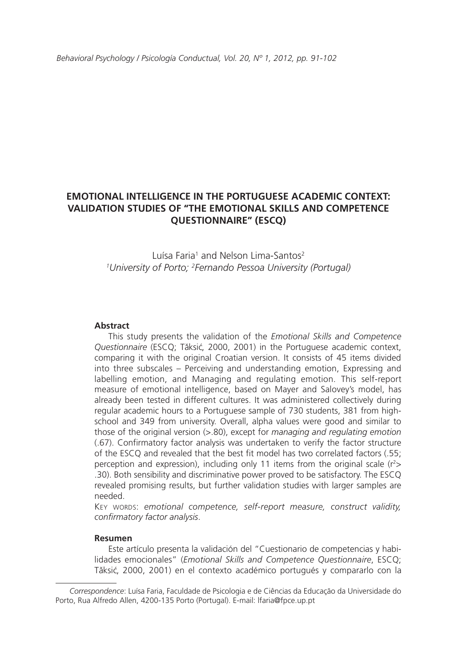# **EMOTIONAL INTELLIGENCE IN THE PORTUGUESE ACADEMIC CONTEXT: VALIDATION STUDIES OF "THE EMOTIONAL SKILLS AND COMPETENCE QUESTIONNAIRE" (ESCQ)**

Luísa Faria<sup>1</sup> and Nelson Lima-Santos<sup>2</sup> *1 University of Porto; 2 Fernando Pessoa University (Portugal)*

#### **Abstract**

This study presents the validation of the *Emotional Skills and Competence Questionnaire* (ESCQ; Tăksić, 2000, 2001) in the Portuguese academic context, comparing it with the original Croatian version. It consists of 45 items divided into three subscales – Perceiving and understanding emotion, Expressing and labelling emotion, and Managing and regulating emotion. This self-report measure of emotional intelligence, based on Mayer and Salovey's model, has already been tested in different cultures. It was administered collectively during regular academic hours to a Portuguese sample of 730 students, 381 from highschool and 349 from university. Overall, alpha values were good and similar to those of the original version (>.80), except for *managing and regulating emotion* (.67). Confirmatory factor analysis was undertaken to verify the factor structure of the ESCQ and revealed that the best fit model has two correlated factors (.55; perception and expression), including only 11 items from the original scale  $(r^2>$ .30). Both sensibility and discriminative power proved to be satisfactory. The ESCQ revealed promising results, but further validation studies with larger samples are needed.

KEY WORDS: emotional competence, self-report measure, construct validity, *confirmatory factor analysis*.

#### **Resumen**

Este artículo presenta la validación del "Cuestionario de competencias y habilidades emocionales" (*Emotional Skills and Competence Questionnaire*, ESCQ; Tăksić, 2000, 2001) en el contexto académico portugués y compararlo con la

*Correspondence*: Luísa Faria, Faculdade de Psicologia e de Ciências da Educação da Universidade do Porto, Rua Alfredo Allen, 4200-135 Porto (Portugal). E-mail: lfaria@fpce.up.pt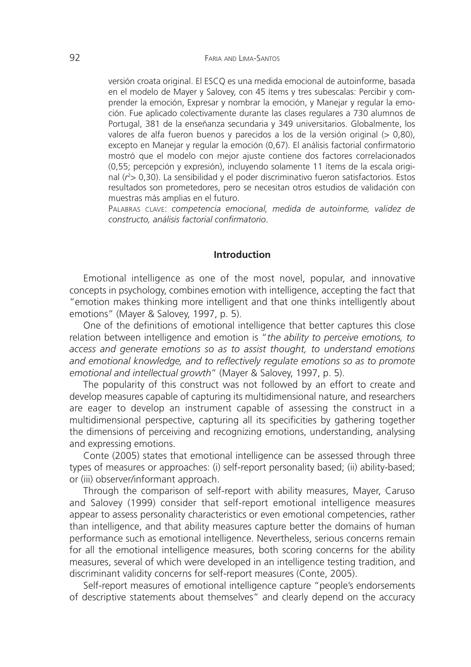versión croata original. El ESCQ es una medida emocional de autoinforme, basada en el modelo de Mayer y Salovey, con 45 ítems y tres subescalas: Percibir y comprender la emoción, Expresar y nombrar la emoción, y Manejar y regular la emoción. Fue aplicado colectivamente durante las clases regulares a 730 alumnos de Portugal, 381 de la enseñanza secundaria y 349 universitarios. Globalmente, los valores de alfa fueron buenos y parecidos a los de la versión original (> 0,80), excepto en Manejar y regular la emoción (0,67). El análisis factorial confirmatorio mostró que el modelo con mejor ajuste contiene dos factores correlacionados (0,55; percepción y expresión), incluyendo solamente 11 ítems de la escala original (r<sup>2</sup>> 0,30). La sensibilidad y el poder discriminativo fueron satisfactorios. Estos resultados son prometedores, pero se necesitan otros estudios de validación con muestras más amplias en el futuro.

Palabras clave: *competencia emocional, medida de autoinforme, validez de constructo, análisis factorial confirmatorio*.

### **Introduction**

Emotional intelligence as one of the most novel, popular, and innovative concepts in psychology, combines emotion with intelligence, accepting the fact that "emotion makes thinking more intelligent and that one thinks intelligently about emotions" (Mayer & Salovey, 1997, p. 5).

One of the definitions of emotional intelligence that better captures this close relation between intelligence and emotion is "*the ability to perceive emotions, to access and generate emotions so as to assist thought, to understand emotions and emotional knowledge, and to reflectively regulate emotions so as to promote emotional and intellectual growth*" (Mayer & Salovey, 1997, p. 5).

The popularity of this construct was not followed by an effort to create and develop measures capable of capturing its multidimensional nature, and researchers are eager to develop an instrument capable of assessing the construct in a multidimensional perspective, capturing all its specificities by gathering together the dimensions of perceiving and recognizing emotions, understanding, analysing and expressing emotions.

Conte (2005) states that emotional intelligence can be assessed through three types of measures or approaches: (i) self-report personality based; (ii) ability-based; or (iii) observer/informant approach.

Through the comparison of self-report with ability measures, Mayer, Caruso and Salovey (1999) consider that self-report emotional intelligence measures appear to assess personality characteristics or even emotional competencies, rather than intelligence, and that ability measures capture better the domains of human performance such as emotional intelligence. Nevertheless, serious concerns remain for all the emotional intelligence measures, both scoring concerns for the ability measures, several of which were developed in an intelligence testing tradition, and discriminant validity concerns for self-report measures (Conte, 2005).

Self-report measures of emotional intelligence capture "people's endorsements of descriptive statements about themselves" and clearly depend on the accuracy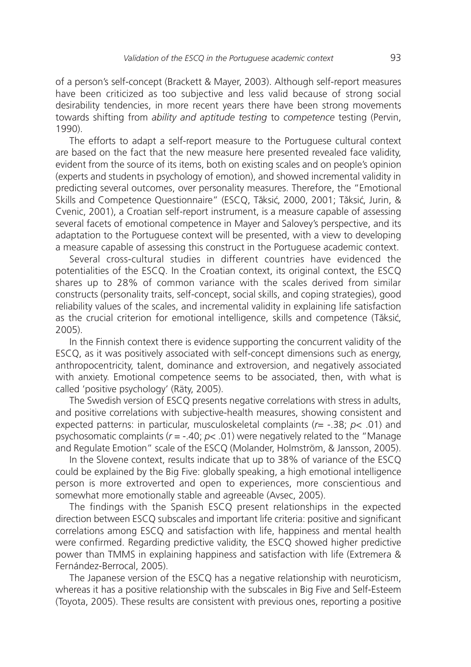of a person's self-concept (Brackett & Mayer, 2003). Although self-report measures have been criticized as too subjective and less valid because of strong social desirability tendencies, in more recent years there have been strong movements towards shifting from *ability and aptitude testing* to *competence* testing (Pervin, 1990).

The efforts to adapt a self-report measure to the Portuguese cultural context are based on the fact that the new measure here presented revealed face validity, evident from the source of its items, both on existing scales and on people's opinion (experts and students in psychology of emotion), and showed incremental validity in predicting several outcomes, over personality measures. Therefore, the "Emotional Skills and Competence Questionnaire" (ESCQ, Tăksić, 2000, 2001; Tăksić, Jurin, & Cvenic, 2001), a Croatian self-report instrument, is a measure capable of assessing several facets of emotional competence in Mayer and Salovey's perspective, and its adaptation to the Portuguese context will be presented, with a view to developing a measure capable of assessing this construct in the Portuguese academic context.

Several cross-cultural studies in different countries have evidenced the potentialities of the ESCQ. In the Croatian context, its original context, the ESCQ shares up to 28% of common variance with the scales derived from similar constructs (personality traits, self-concept, social skills, and coping strategies), good reliability values of the scales, and incremental validity in explaining life satisfaction as the crucial criterion for emotional intelligence, skills and competence (Tăksić, 2005).

In the Finnish context there is evidence supporting the concurrent validity of the ESCQ, as it was positively associated with self-concept dimensions such as energy, anthropocentricity, talent, dominance and extroversion, and negatively associated with anxiety. Emotional competence seems to be associated, then, with what is called 'positive psychology' (Räty, 2005).

The Swedish version of ESCQ presents negative correlations with stress in adults, and positive correlations with subjective-health measures, showing consistent and expected patterns: in particular, musculoskeletal complaints (*r*= -.38; *p*< .01) and psychosomatic complaints ( $r = -.40$ ;  $p < .01$ ) were negatively related to the "Manage" and Regulate Emotion" scale of the ESCQ (Molander, Holmström, & Jansson, 2005).

In the Slovene context, results indicate that up to 38% of variance of the ESCQ could be explained by the Big Five: globally speaking, a high emotional intelligence person is more extroverted and open to experiences, more conscientious and somewhat more emotionally stable and agreeable (Avsec, 2005).

The findings with the Spanish ESCQ present relationships in the expected direction between ESCQ subscales and important life criteria: positive and significant correlations among ESCQ and satisfaction with life, happiness and mental health were confirmed. Regarding predictive validity, the ESCQ showed higher predictive power than TMMS in explaining happiness and satisfaction with life (Extremera & Fernández-Berrocal, 2005).

The Japanese version of the ESCQ has a negative relationship with neuroticism, whereas it has a positive relationship with the subscales in Big Five and Self-Esteem (Toyota, 2005). These results are consistent with previous ones, reporting a positive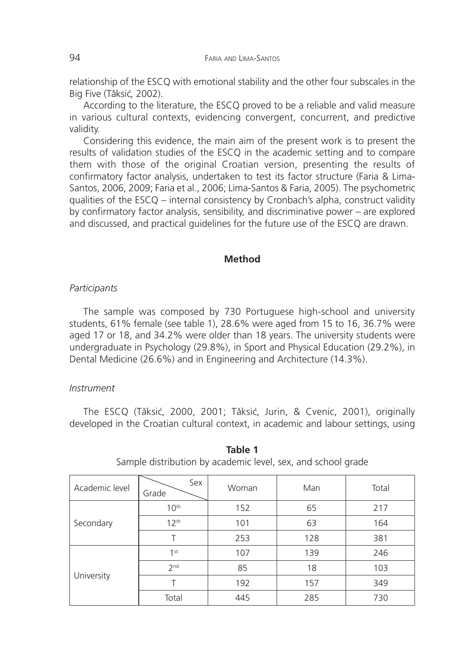relationship of the ESCQ with emotional stability and the other four subscales in the Big Five (Tăksić, 2002).

According to the literature, the ESCQ proved to be a reliable and valid measure in various cultural contexts, evidencing convergent, concurrent, and predictive validity.

Considering this evidence, the main aim of the present work is to present the results of validation studies of the ESCQ in the academic setting and to compare them with those of the original Croatian version, presenting the results of confirmatory factor analysis, undertaken to test its factor structure (Faria & Lima-Santos, 2006, 2009; Faria et al., 2006; Lima-Santos & Faria, 2005). The psychometric qualities of the ESCQ – internal consistency by Cronbach's alpha, construct validity by confirmatory factor analysis, sensibility, and discriminative power – are explored and discussed, and practical guidelines for the future use of the ESCQ are drawn.

# **Method**

# *Participants*

The sample was composed by 730 Portuguese high-school and university students, 61% female (see table 1), 28.6% were aged from 15 to 16, 36.7% were aged 17 or 18, and 34.2% were older than 18 years. The university students were undergraduate in Psychology (29.8%), in Sport and Physical Education (29.2%), in Dental Medicine (26.6%) and in Engineering and Architecture (14.3%).

#### *Instrument*

The ESCQ (Tăksić, 2000, 2001; Tăksić, Jurin, & Cvenic, 2001), originally developed in the Croatian cultural context, in academic and labour settings, using

| Academic level | Sex<br>Grade     | Woman | Man | Total |  |
|----------------|------------------|-------|-----|-------|--|
| Secondary      | 10 <sup>th</sup> | 152   | 65  | 217   |  |
|                | 12 <sup>th</sup> | 101   | 63  | 164   |  |
|                | Τ                | 253   | 128 | 381   |  |
| University     | 1 <sub>st</sub>  | 107   | 139 | 246   |  |
|                | 2 <sub>nd</sub>  | 85    | 18  | 103   |  |
|                |                  | 192   | 157 | 349   |  |
|                | Total            | 445   | 285 | 730   |  |

**Table 1** Sample distribution by academic level, sex, and school grade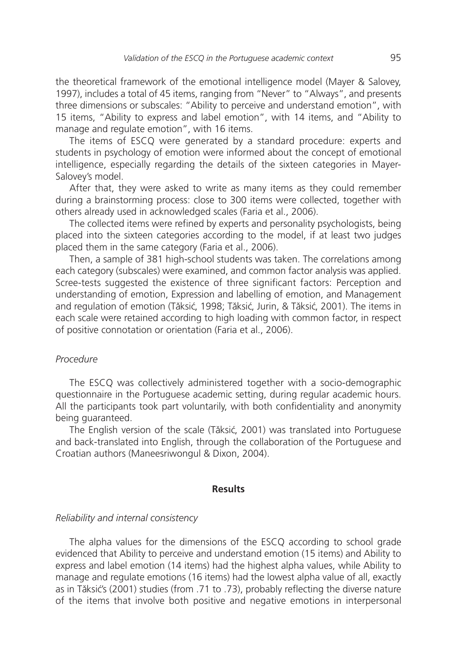the theoretical framework of the emotional intelligence model (Mayer & Salovey, 1997), includes a total of 45 items, ranging from "Never" to "Always", and presents three dimensions or subscales: "Ability to perceive and understand emotion", with 15 items, "Ability to express and label emotion", with 14 items, and "Ability to manage and regulate emotion", with 16 items.

The items of ESCQ were generated by a standard procedure: experts and students in psychology of emotion were informed about the concept of emotional intelligence, especially regarding the details of the sixteen categories in Mayer-Salovey's model.

After that, they were asked to write as many items as they could remember during a brainstorming process: close to 300 items were collected, together with others already used in acknowledged scales (Faria et al., 2006).

The collected items were refined by experts and personality psychologists, being placed into the sixteen categories according to the model, if at least two judges placed them in the same category (Faria et al., 2006).

Then, a sample of 381 high-school students was taken. The correlations among each category (subscales) were examined, and common factor analysis was applied. Scree-tests suggested the existence of three significant factors: Perception and understanding of emotion, Expression and labelling of emotion, and Management and regulation of emotion (Tăksić, 1998; Tăksić, Jurin, & Tăksić, 2001). The items in each scale were retained according to high loading with common factor, in respect of positive connotation or orientation (Faria et al., 2006).

# *Procedure*

The ESCQ was collectively administered together with a socio-demographic questionnaire in the Portuguese academic setting, during regular academic hours. All the participants took part voluntarily, with both confidentiality and anonymity being guaranteed.

The English version of the scale (Tăksić, 2001) was translated into Portuguese and back-translated into English, through the collaboration of the Portuguese and Croatian authors (Maneesriwongul & Dixon, 2004).

# **Results**

#### *Reliability and internal consistency*

The alpha values for the dimensions of the ESCQ according to school grade evidenced that Ability to perceive and understand emotion (15 items) and Ability to express and label emotion (14 items) had the highest alpha values, while Ability to manage and regulate emotions (16 items) had the lowest alpha value of all, exactly as in Tăksić's (2001) studies (from .71 to .73), probably reflecting the diverse nature of the items that involve both positive and negative emotions in interpersonal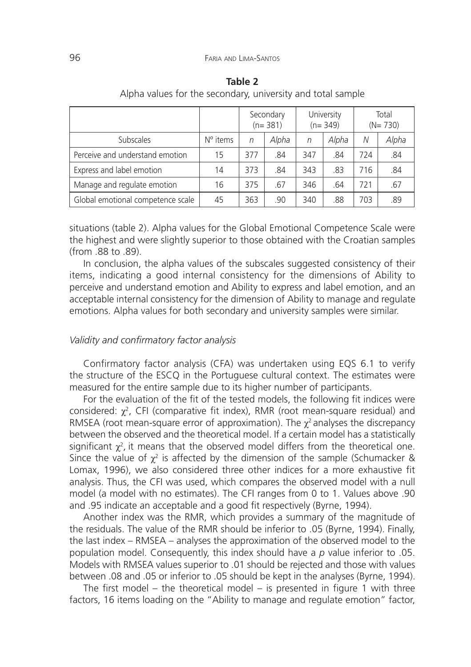|                                   |                   | Secondary<br>$(n=381)$ |       | University<br>$(n=349)$ |       | Total<br>$(N=730)$ |       |
|-----------------------------------|-------------------|------------------------|-------|-------------------------|-------|--------------------|-------|
| Subscales                         | $N^{\circ}$ items | n                      | Alpha | n                       | Alpha | N                  | Alpha |
| Perceive and understand emotion   | 15                | 377                    | .84   | 347                     | .84   | 724                | .84   |
| Express and label emotion         | 14                | 373                    | .84   | 343                     | .83   | 716                | .84   |
| Manage and regulate emotion       | 16                | 375                    | .67   | 346                     | .64   | 721                | .67   |
| Global emotional competence scale | 45                | 363                    | .90   | 340                     | .88   | 703                | .89   |

**Table 2** Alpha values for the secondary, university and total sample

situations (table 2). Alpha values for the Global Emotional Competence Scale were the highest and were slightly superior to those obtained with the Croatian samples (from .88 to .89).

In conclusion, the alpha values of the subscales suggested consistency of their items, indicating a good internal consistency for the dimensions of Ability to perceive and understand emotion and Ability to express and label emotion, and an acceptable internal consistency for the dimension of Ability to manage and regulate emotions. Alpha values for both secondary and university samples were similar.

### *Validity and confirmatory factor analysis*

Confirmatory factor analysis (CFA) was undertaken using EQS 6.1 to verify the structure of the ESCQ in the Portuguese cultural context. The estimates were measured for the entire sample due to its higher number of participants.

For the evaluation of the fit of the tested models, the following fit indices were considered:  $\chi^2$ , CFI (comparative fit index), RMR (root mean-square residual) and RMSEA (root mean-square error of approximation). The  $\chi^2$  analyses the discrepancy between the observed and the theoretical model. If a certain model has a statistically significant  $\chi^2$ , it means that the observed model differs from the theoretical one. Since the value of  $\chi^2$  is affected by the dimension of the sample (Schumacker & Lomax, 1996), we also considered three other indices for a more exhaustive fit analysis. Thus, the CFI was used, which compares the observed model with a null model (a model with no estimates). The CFI ranges from 0 to 1. Values above .90 and .95 indicate an acceptable and a good fit respectively (Byrne, 1994).

Another index was the RMR, which provides a summary of the magnitude of the residuals. The value of the RMR should be inferior to .05 (Byrne, 1994). Finally, the last index – RMSEA – analyses the approximation of the observed model to the population model. Consequently, this index should have a *p* value inferior to .05. Models with RMSEA values superior to .01 should be rejected and those with values between .08 and .05 or inferior to .05 should be kept in the analyses (Byrne, 1994).

The first model – the theoretical model – is presented in figure 1 with three factors, 16 items loading on the "Ability to manage and regulate emotion" factor,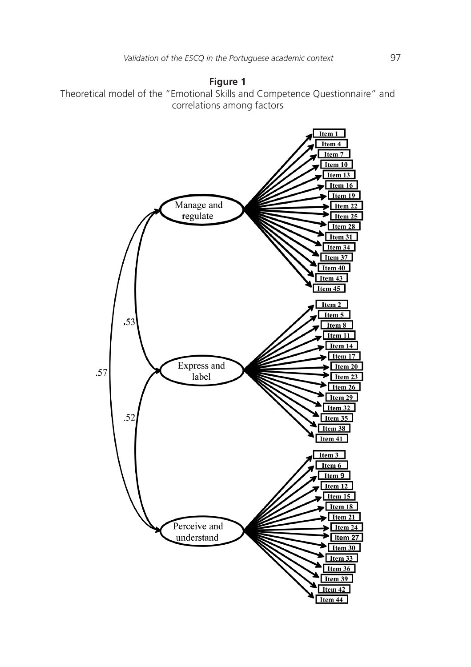

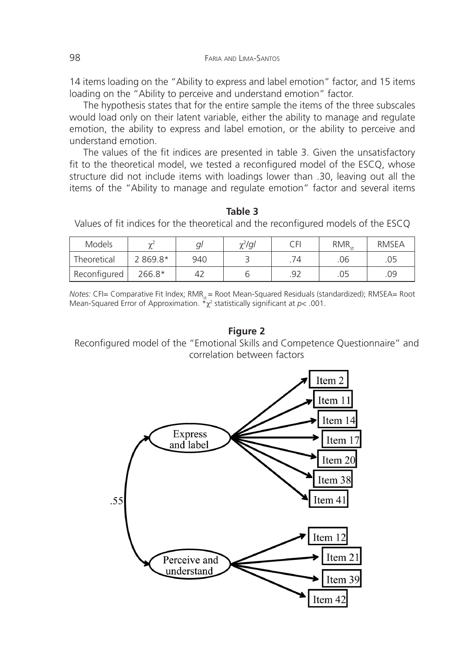14 items loading on the "Ability to express and label emotion" factor, and 15 items loading on the "Ability to perceive and understand emotion" factor.

The hypothesis states that for the entire sample the items of the three subscales would load only on their latent variable, either the ability to manage and regulate emotion, the ability to express and label emotion, or the ability to perceive and understand emotion.

The values of the fit indices are presented in table 3. Given the unsatisfactory fit to the theoretical model, we tested a reconfigured model of the ESCQ, whose structure did not include items with loadings lower than .30, leaving out all the items of the "Ability to manage and regulate emotion" factor and several items

**Table 3**  Values of fit indices for the theoretical and the reconfigured models of the ESCQ

| <b>Models</b> | $\sim$    | al  | $\chi^2$ /ql | ΓFΙ | <b>RMR</b> | <b>RMSEA</b> |
|---------------|-----------|-----|--------------|-----|------------|--------------|
| Theoretical   | $2869.8*$ | 940 |              |     | .06        | .05          |
| Reconfigured  | 266.8*    | 42  |              | ดว  |            | .09          |

*Notes: CFI= Comparative Fit Index; RMR<sub>s</sub>* = Root Mean-Squared Residuals (standardized); RMSEA= Root Mean-Squared Error of Approximation. \*χ<sup>2</sup> statistically significant at *p*< .001.

**Figure 2**

Reconfigured model of the "Emotional Skills and Competence Questionnaire" and correlation between factors

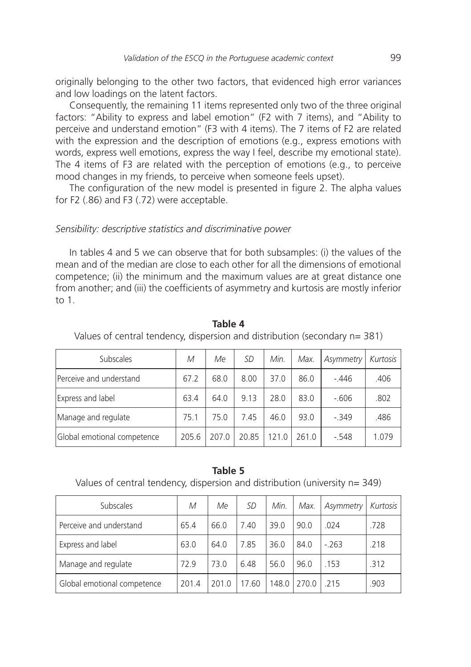originally belonging to the other two factors, that evidenced high error variances and low loadings on the latent factors.

Consequently, the remaining 11 items represented only two of the three original factors: "Ability to express and label emotion" (F2 with 7 items), and "Ability to perceive and understand emotion" (F3 with 4 items). The 7 items of F2 are related with the expression and the description of emotions (e.g., express emotions with words, express well emotions, express the way I feel, describe my emotional state). The 4 items of F3 are related with the perception of emotions (e.g., to perceive mood changes in my friends, to perceive when someone feels upset).

The configuration of the new model is presented in figure 2. The alpha values for F2 (.86) and F3 (.72) were acceptable.

#### *Sensibility: descriptive statistics and discriminative power*

In tables 4 and 5 we can observe that for both subsamples: (i) the values of the mean and of the median are close to each other for all the dimensions of emotional competence; (ii) the minimum and the maximum values are at great distance one from another; and (iii) the coefficients of asymmetry and kurtosis are mostly inferior to 1.

| <b>Subscales</b>            | M     | Me   | SD   | Min. | Max.  | Asymmetry | Kurtosis |
|-----------------------------|-------|------|------|------|-------|-----------|----------|
| Perceive and understand     | 67.2  | 68.0 | 8.00 | 37.0 | 86.0  | $-446$    | .406     |
| Express and label           | 63.4  | 64.0 | 9.13 | 28.0 | 83.0  | $-606$    | .802     |
| Manage and regulate         | 75.1  | 75.0 | 7.45 | 46.0 | 93.0  | $-349$    | .486     |
| Global emotional competence | 205.6 | 2070 | 2085 | 1210 | 261 O | $-548$    | 1.079    |

**Table 4** 

Values of central tendency, dispersion and distribution (secondary n= 381)

#### **Table 5**

Values of central tendency, dispersion and distribution (university n= 349)

| Subscales                   | M     | Me   | SD    | Min.  | Max. | Asymmetry | Kurtosis |
|-----------------------------|-------|------|-------|-------|------|-----------|----------|
| Perceive and understand     | 65.4  | 66.0 | 7.40  | 39.0  | 90.0 | .024      | .728     |
| Express and label           | 63.0  | 64.0 | 7.85  | 36.0  | 84.0 | $-263$    | .218     |
| Manage and regulate         | 72.9  | 73.0 | 6.48  | 56.0  | 96.0 | 153       | .312     |
| Global emotional competence | 201.4 | 2010 | 17.60 | 148.0 | 2700 | 215       | .903     |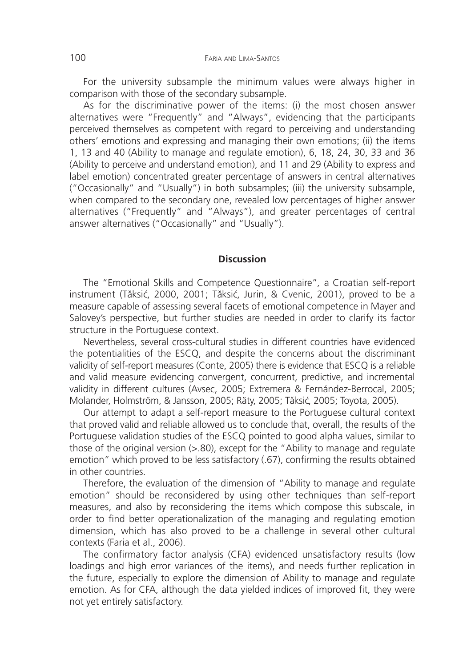For the university subsample the minimum values were always higher in comparison with those of the secondary subsample.

As for the discriminative power of the items: (i) the most chosen answer alternatives were "Frequently" and "Always", evidencing that the participants perceived themselves as competent with regard to perceiving and understanding others' emotions and expressing and managing their own emotions; (ii) the items 1, 13 and 40 (Ability to manage and regulate emotion), 6, 18, 24, 30, 33 and 36 (Ability to perceive and understand emotion), and 11 and 29 (Ability to express and label emotion) concentrated greater percentage of answers in central alternatives ("Occasionally" and "Usually") in both subsamples; (iii) the university subsample, when compared to the secondary one, revealed low percentages of higher answer alternatives ("Frequently" and "Always"), and greater percentages of central answer alternatives ("Occasionally" and "Usually").

# **Discussion**

The "Emotional Skills and Competence Questionnaire"*,* a Croatian self-report instrument (Tăksić, 2000, 2001; Tăksić, Jurin, & Cvenic, 2001), proved to be a measure capable of assessing several facets of emotional competence in Mayer and Salovey's perspective, but further studies are needed in order to clarify its factor structure in the Portuguese context.

Nevertheless, several cross-cultural studies in different countries have evidenced the potentialities of the ESCQ, and despite the concerns about the discriminant validity of self-report measures (Conte, 2005) there is evidence that ESCQ is a reliable and valid measure evidencing convergent, concurrent, predictive, and incremental validity in different cultures (Avsec, 2005; Extremera & Fernández-Berrocal, 2005; Molander, Holmström, & Jansson, 2005; Räty, 2005; Tǎksić, 2005; Toyota, 2005).

Our attempt to adapt a self-report measure to the Portuguese cultural context that proved valid and reliable allowed us to conclude that, overall, the results of the Portuguese validation studies of the ESCQ pointed to good alpha values, similar to those of the original version (>.80), except for the "Ability to manage and regulate emotion" which proved to be less satisfactory (.67), confirming the results obtained in other countries.

Therefore, the evaluation of the dimension of "Ability to manage and regulate emotion" should be reconsidered by using other techniques than self-report measures, and also by reconsidering the items which compose this subscale, in order to find better operationalization of the managing and regulating emotion dimension, which has also proved to be a challenge in several other cultural contexts (Faria et al., 2006).

The confirmatory factor analysis (CFA) evidenced unsatisfactory results (low loadings and high error variances of the items), and needs further replication in the future, especially to explore the dimension of Ability to manage and regulate emotion. As for CFA, although the data yielded indices of improved fit, they were not yet entirely satisfactory.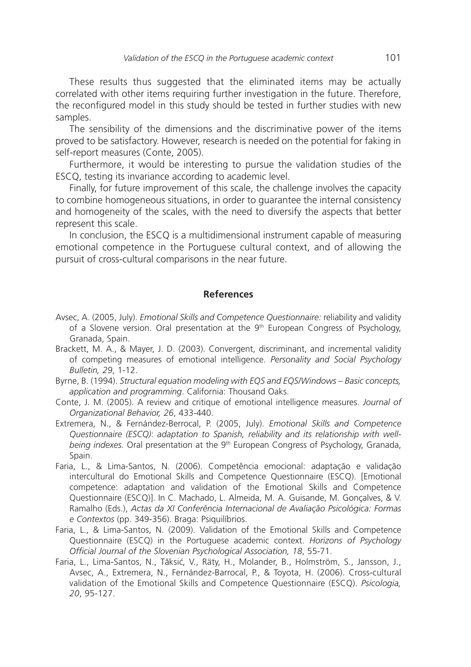These results thus suggested that the eliminated items may be actually correlated with other items requiring further investigation in the future. Therefore, the reconfigured model in this study should be tested in further studies with new samples.

The sensibility of the dimensions and the discriminative power of the items proved to be satisfactory. However, research is needed on the potential for faking in self-report measures (Conte, 2005).

Furthermore, it would be interesting to pursue the validation studies of the ESCQ, testing its invariance according to academic level.

Finally, for future improvement of this scale, the challenge involves the capacity to combine homogeneous situations, in order to guarantee the internal consistency and homogeneity of the scales, with the need to diversify the aspects that better represent this scale.

In conclusion, the ESCQ is a multidimensional instrument capable of measuring emotional competence in the Portuguese cultural context, and of allowing the pursuit of cross-cultural comparisons in the near future.

# **References**

- Avsec, A. (2005, July). *Emotional Skills and Competence Questionnaire:* reliability and validity of a Slovene version. Oral presentation at the 9<sup>th</sup> European Congress of Psychology, Granada, Spain.
- Brackett, M. A., & Mayer, J. D. (2003). Convergent, discriminant, and incremental validity of competing measures of emotional intelligence. *Personality and Social Psychology Bulletin, 29*, 1-12.
- Byrne, B. (1994). *Structural equation modeling with EQS and EQS/Windows Basic concepts, application and programming*. California: Thousand Oaks.
- Conte, J. M. (2005). A review and critique of emotional intelligence measures. *Journal of Organizational Behavior, 26*, 433-440.
- Extremera, N., & Fernández-Berrocal, P. (2005, July). *Emotional Skills and Competence Questionnaire (ESCQ)*: *adaptation to Spanish, reliability and its relationship with well*being indexes. Oral presentation at the 9<sup>th</sup> European Congress of Psychology, Granada, Spain.
- Faria, L., & Lima-Santos, N*.* (2006). Competência emocional: adaptação e validação intercultural do Emotional Skills and Competence Questionnaire (ESCQ). [Emotional competence: adaptation and validation of the Emotional Skills and Competence Questionnaire (ESCQ)]. In C. Machado, L. Almeida, M. A. Guisande, M. Gonçalves, & V. Ramalho (Eds.), *Actas da XI Conferência Internacional de Avaliação Psicológica: Formas e Contextos* (pp. 349-356). Braga: Psiquilíbrios.
- Faria, L., & Lima-Santos, N. (2009). Validation of the Emotional Skills and Competence Questionnaire (ESCQ) in the Portuguese academic context. *Horizons of Psychology Official Journal of the Slovenian Psychological Association, 18*, 55-71.
- Faria, L., Lima-Santos, N., Tăksić, V., Räty, H., Molander, B., Holmström, S., Jansson, J., Avsec, A., Extremera, N., Fernández-Barrocal, P., & Toyota, H. (2006). Cross-cultural validation of the Emotional Skills and Competence Questionnaire (ESCQ). *Psicologia, 20*, 95-127.